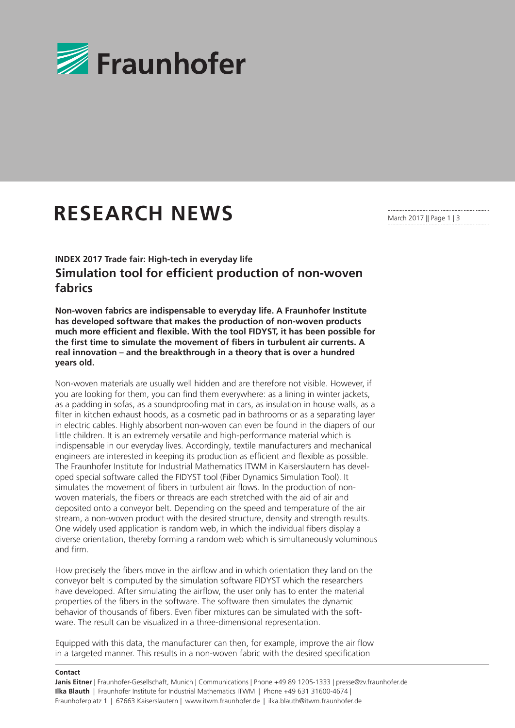

## **RESEARCH NEWS**

March 2017 || Page 1 | 3

**INDEX 2017 Trade fair: High-tech in everyday life Simulation tool for efficient production of non-woven fabrics**

**Non-woven fabrics are indispensable to everyday life. A Fraunhofer Institute has developed software that makes the production of non-woven products much more efficient and flexible. With the tool FIDYST, it has been possible for the first time to simulate the movement of fibers in turbulent air currents. A real innovation – and the breakthrough in a theory that is over a hundred years old.**

Non-woven materials are usually well hidden and are therefore not visible. However, if you are looking for them, you can find them everywhere: as a lining in winter jackets, as a padding in sofas, as a soundproofing mat in cars, as insulation in house walls, as a filter in kitchen exhaust hoods, as a cosmetic pad in bathrooms or as a separating layer in electric cables. Highly absorbent non-woven can even be found in the diapers of our little children. It is an extremely versatile and high-performance material which is indispensable in our everyday lives. Accordingly, textile manufacturers and mechanical engineers are interested in keeping its production as efficient and flexible as possible. The Fraunhofer Institute for Industrial Mathematics ITWM in Kaiserslautern has developed special software called the FIDYST tool (Fiber Dynamics Simulation Tool). It simulates the movement of fibers in turbulent air flows. In the production of nonwoven materials, the fibers or threads are each stretched with the aid of air and deposited onto a conveyor belt. Depending on the speed and temperature of the air stream, a non-woven product with the desired structure, density and strength results. One widely used application is random web, in which the individual fibers display a diverse orientation, thereby forming a random web which is simultaneously voluminous and firm.

How precisely the fibers move in the airflow and in which orientation they land on the conveyor belt is computed by the simulation software FIDYST which the researchers have developed. After simulating the airflow, the user only has to enter the material properties of the fibers in the software. The software then simulates the dynamic behavior of thousands of fibers. Even fiber mixtures can be simulated with the software. The result can be visualized in a three-dimensional representation.

Equipped with this data, the manufacturer can then, for example, improve the air flow in a targeted manner. This results in a non-woven fabric with the desired specification

## **Contact**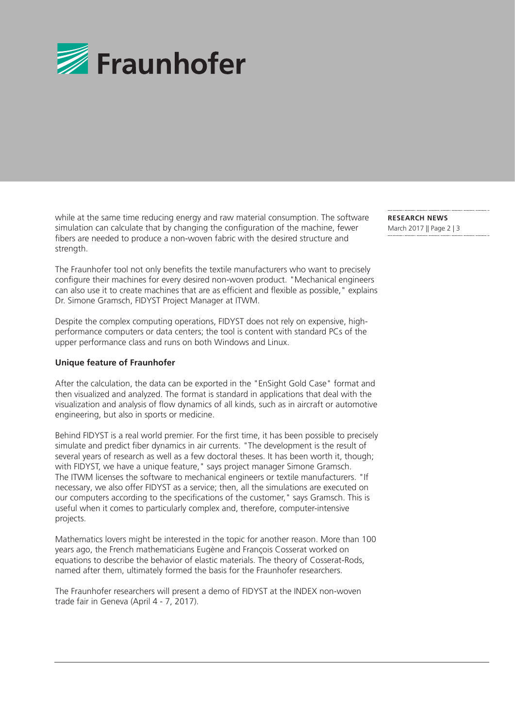

while at the same time reducing energy and raw material consumption. The software simulation can calculate that by changing the configuration of the machine, fewer fibers are needed to produce a non-woven fabric with the desired structure and strength.

The Fraunhofer tool not only benefits the textile manufacturers who want to precisely configure their machines for every desired non-woven product. "Mechanical engineers can also use it to create machines that are as efficient and flexible as possible," explains Dr. Simone Gramsch, FIDYST Project Manager at ITWM.

Despite the complex computing operations, FIDYST does not rely on expensive, highperformance computers or data centers; the tool is content with standard PCs of the upper performance class and runs on both Windows and Linux.

## **Unique feature of Fraunhofer**

After the calculation, the data can be exported in the "EnSight Gold Case" format and then visualized and analyzed. The format is standard in applications that deal with the visualization and analysis of flow dynamics of all kinds, such as in aircraft or automotive engineering, but also in sports or medicine.

Behind FIDYST is a real world premier. For the first time, it has been possible to precisely simulate and predict fiber dynamics in air currents. "The development is the result of several years of research as well as a few doctoral theses. It has been worth it, though; with FIDYST, we have a unique feature," says project manager Simone Gramsch. The ITWM licenses the software to mechanical engineers or textile manufacturers. "If necessary, we also offer FIDYST as a service; then, all the simulations are executed on our computers according to the specifications of the customer," says Gramsch. This is useful when it comes to particularly complex and, therefore, computer-intensive projects.

Mathematics lovers might be interested in the topic for another reason. More than 100 years ago, the French mathematicians Eugène and François Cosserat worked on equations to describe the behavior of elastic materials. The theory of Cosserat-Rods, named after them, ultimately formed the basis for the Fraunhofer researchers.

The Fraunhofer researchers will present a demo of FIDYST at the INDEX non-woven trade fair in Geneva (April 4 - 7, 2017).

**RESEARCH NEWS**  March 2017 || Page 2 | 3